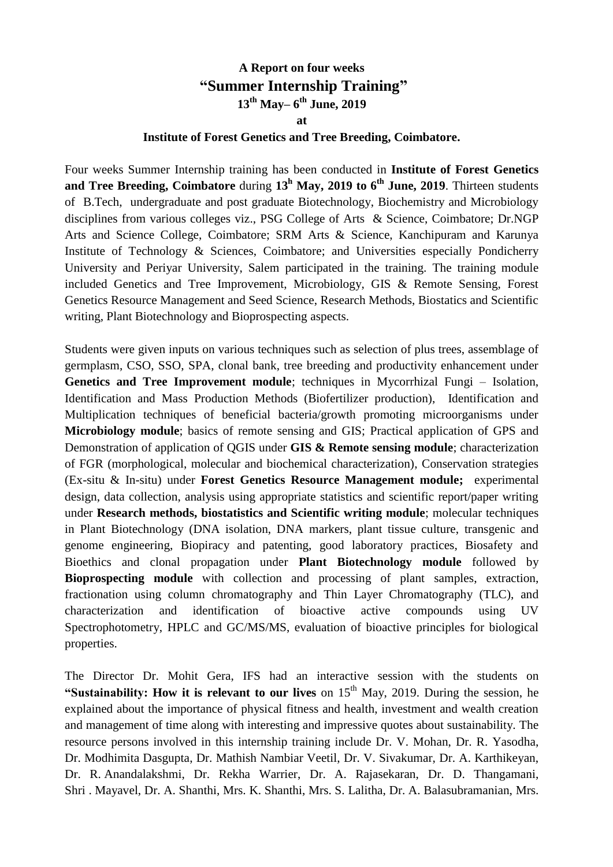## **A Report on four weeks "Summer Internship Training" 13 th May– 6 th June, 2019 at Institute of Forest Genetics and Tree Breeding, Coimbatore.**

Four weeks Summer Internship training has been conducted in **Institute of Forest Genetics and Tree Breeding, Coimbatore** during **13 <sup>h</sup> May, 2019 to 6th June, 2019**. Thirteen students of B.Tech, undergraduate and post graduate Biotechnology, Biochemistry and Microbiology disciplines from various colleges viz., PSG College of Arts & Science, Coimbatore; Dr.NGP Arts and Science College, Coimbatore; SRM Arts & Science, Kanchipuram and Karunya Institute of Technology & Sciences, Coimbatore; and Universities especially Pondicherry University and Periyar University, Salem participated in the training. The training module included Genetics and Tree Improvement, Microbiology, GIS & Remote Sensing, Forest Genetics Resource Management and Seed Science, Research Methods, Biostatics and Scientific writing, Plant Biotechnology and Bioprospecting aspects.

Students were given inputs on various techniques such as selection of plus trees, assemblage of germplasm, CSO, SSO, SPA, clonal bank, tree breeding and productivity enhancement under **Genetics and Tree Improvement module**; techniques in Mycorrhizal Fungi – Isolation, Identification and Mass Production Methods (Biofertilizer production), Identification and Multiplication techniques of beneficial bacteria/growth promoting microorganisms under **Microbiology module**; basics of remote sensing and GIS; Practical application of GPS and Demonstration of application of QGIS under **GIS & Remote sensing module**; characterization of FGR (morphological, molecular and biochemical characterization), Conservation strategies (Ex-situ & In-situ) under **Forest Genetics Resource Management module;** experimental design, data collection, analysis using appropriate statistics and scientific report/paper writing under **Research methods, biostatistics and Scientific writing module**; molecular techniques in Plant Biotechnology (DNA isolation, DNA markers, plant tissue culture, transgenic and genome engineering, Biopiracy and patenting, good laboratory practices, Biosafety and Bioethics and clonal propagation under **Plant Biotechnology module** followed by **Bioprospecting module** with collection and processing of plant samples, extraction, fractionation using column chromatography and Thin Layer Chromatography (TLC), and characterization and identification of bioactive active compounds using UV Spectrophotometry, HPLC and GC/MS/MS, evaluation of bioactive principles for biological properties.

The Director Dr. Mohit Gera, IFS had an interactive session with the students on **"Sustainability: How it is relevant to our lives** on  $15<sup>th</sup>$  May, 2019. During the session, he explained about the importance of physical fitness and health, investment and wealth creation and management of time along with interesting and impressive quotes about sustainability. The resource persons involved in this internship training include Dr. V. Mohan, Dr. R. Yasodha, Dr. Modhimita Dasgupta, Dr. Mathish Nambiar Veetil, Dr. V. Sivakumar, Dr. A. Karthikeyan, Dr. R. Anandalakshmi, Dr. Rekha Warrier, Dr. A. Rajasekaran, Dr. D. Thangamani, Shri . Mayavel, Dr. A. Shanthi, Mrs. K. Shanthi, Mrs. S. Lalitha, Dr. A. Balasubramanian, Mrs.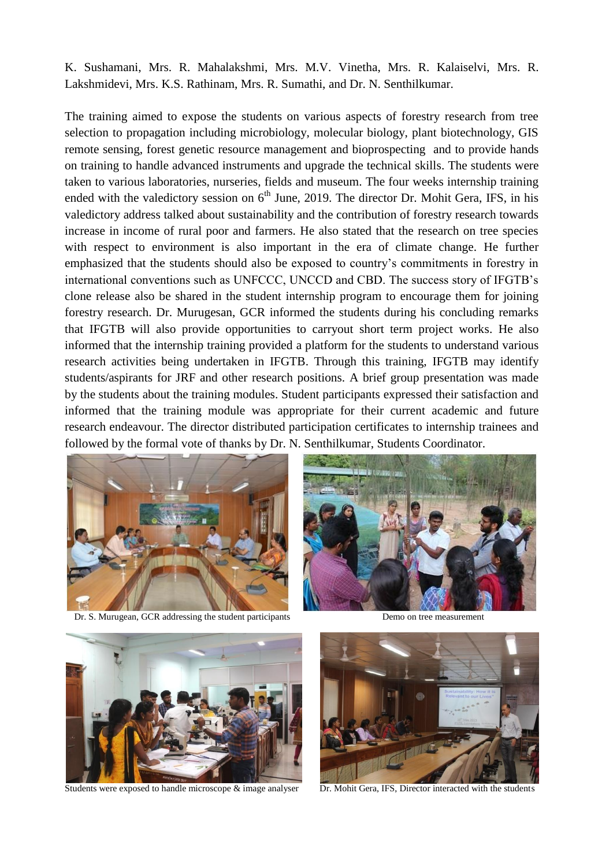K. Sushamani, Mrs. R. Mahalakshmi, Mrs. M.V. Vinetha, Mrs. R. Kalaiselvi, Mrs. R. Lakshmidevi, Mrs. K.S. Rathinam, Mrs. R. Sumathi, and Dr. N. Senthilkumar.

The training aimed to expose the students on various aspects of forestry research from tree selection to propagation including microbiology, molecular biology, plant biotechnology, GIS remote sensing, forest genetic resource management and bioprospecting and to provide hands on training to handle advanced instruments and upgrade the technical skills. The students were taken to various laboratories, nurseries, fields and museum. The four weeks internship training ended with the valedictory session on  $6<sup>th</sup>$  June, 2019. The director Dr. Mohit Gera, IFS, in his valedictory address talked about sustainability and the contribution of forestry research towards increase in income of rural poor and farmers. He also stated that the research on tree species with respect to environment is also important in the era of climate change. He further emphasized that the students should also be exposed to country's commitments in forestry in international conventions such as UNFCCC, UNCCD and CBD. The success story of IFGTB's clone release also be shared in the student internship program to encourage them for joining forestry research. Dr. Murugesan, GCR informed the students during his concluding remarks that IFGTB will also provide opportunities to carryout short term project works. He also informed that the internship training provided a platform for the students to understand various research activities being undertaken in IFGTB. Through this training, IFGTB may identify students/aspirants for JRF and other research positions. A brief group presentation was made by the students about the training modules. Student participants expressed their satisfaction and informed that the training module was appropriate for their current academic and future research endeavour. The director distributed participation certificates to internship trainees and followed by the formal vote of thanks by Dr. N. Senthilkumar, Students Coordinator.



Dr. S. Murugean, GCR addressing the student participants Demo on tree measurement



Students were exposed to handle microscope  $\&$  image analyser Dr. Mohit Gera, IFS, Director interacted with the students